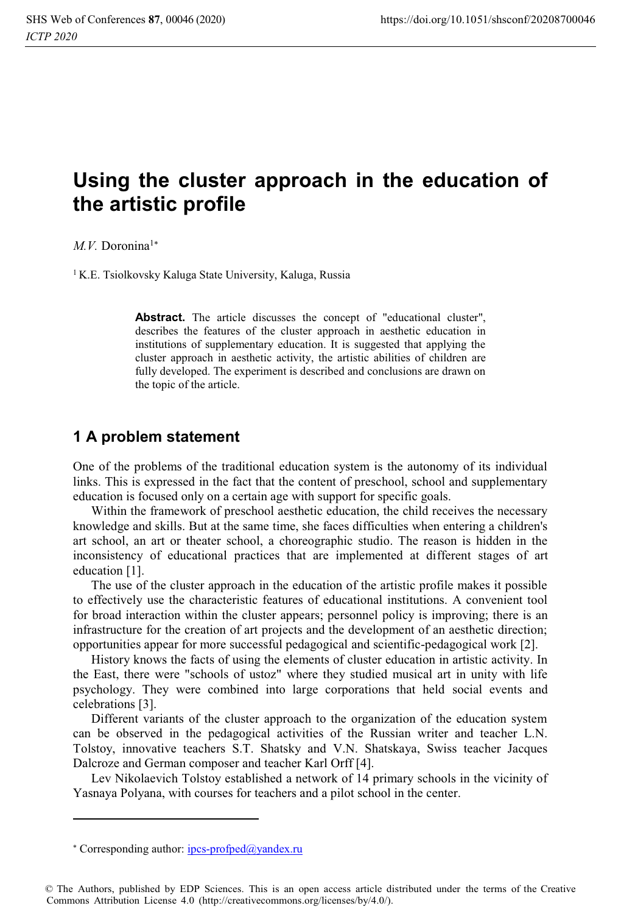# **Using the cluster approach in the education of the artistic profile**

*M.V.* Doronina<sup>1\*</sup>

<sup>1</sup> K.E. Tsiolkovsky Kaluga State University, Kaluga, Russia

**Abstract.** The article discusses the concept of "educational cluster", describes the features of the cluster approach in aesthetic education in institutions of supplementary education. It is suggested that applying the cluster approach in aesthetic activity, the artistic abilities of children are fully developed. The experiment is described and conclusions are drawn on the topic of the article.

#### **1 A problem statement**

One of the problems of the traditional education system is the autonomy of its individual links. This is expressed in the fact that the content of preschool, school and supplementary education is focused only on a certain age with support for specific goals.

Within the framework of preschool aesthetic education, the child receives the necessary knowledge and skills. But at the same time, she faces difficulties when entering a children's art school, an art or theater school, a choreographic studio. The reason is hidden in the inconsistency of educational practices that are implemented at different stages of art education [1].

The use of the cluster approach in the education of the artistic profile makes it possible to effectively use the characteristic features of educational institutions. A convenient tool for broad interaction within the cluster appears; personnel policy is improving; there is an infrastructure for the creation of art projects and the development of an aesthetic direction; opportunities appear for more successful pedagogical and scientific-pedagogical work [2].

History knows the facts of using the elements of cluster education in artistic activity. In the East, there were "schools of ustoz" where they studied musical art in unity with life psychology. They were combined into large corporations that held social events and celebrations [3].

Different variants of the cluster approach to the organization of the education system can be observed in the pedagogical activities of the Russian writer and teacher L.N. Tolstoy, innovative teachers S.T. Shatsky and V.N. Shatskaya, Swiss teacher Jacques Dalcroze and German composer and teacher Karl Orff [4].

Lev Nikolaevich Tolstoy established a network of 14 primary schools in the vicinity of Yasnaya Polyana, with courses for teachers and a pilot school in the center.

l

<sup>\*</sup> Corresponding author: ipcs-profped@yandex.ru

<sup>©</sup> The Authors, published by EDP Sciences. This is an open access article distributed under the terms of the Creative Commons Attribution License 4.0 (http://creativecommons.org/licenses/by/4.0/).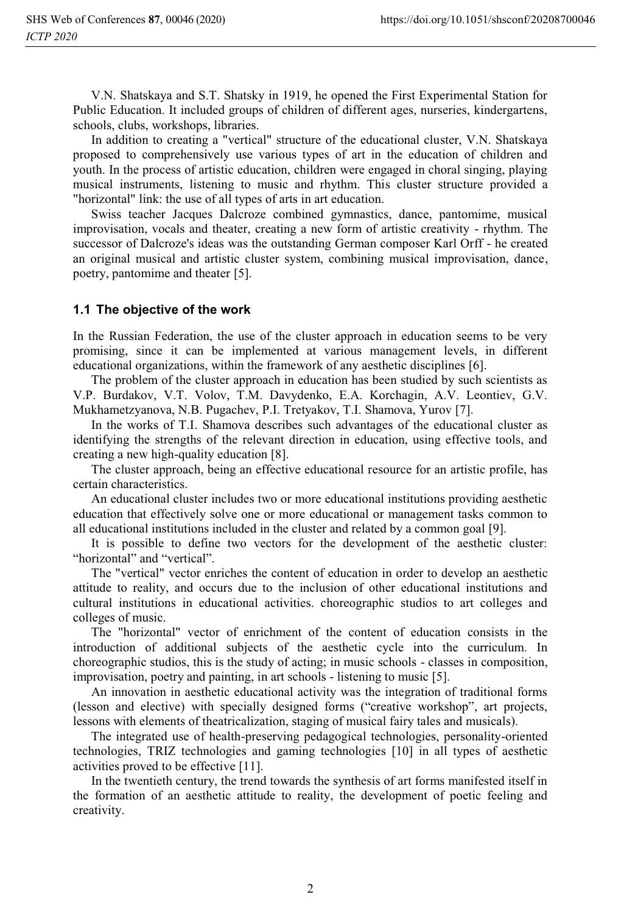V.N. Shatskaya and S.T. Shatsky in 1919, he opened the First Experimental Station for Public Education. It included groups of children of different ages, nurseries, kindergartens, schools, clubs, workshops, libraries.

In addition to creating a "vertical" structure of the educational cluster, V.N. Shatskaya proposed to comprehensively use various types of art in the education of children and youth. In the process of artistic education, children were engaged in choral singing, playing musical instruments, listening to music and rhythm. This cluster structure provided a "horizontal" link: the use of all types of arts in art education.

Swiss teacher Jacques Dalcroze combined gymnastics, dance, pantomime, musical improvisation, vocals and theater, creating a new form of artistic creativity - rhythm. The successor of Dalcroze's ideas was the outstanding German composer Karl Orff - he created an original musical and artistic cluster system, combining musical improvisation, dance, poetry, pantomime and theater [5].

### **1.1 The objective of the work**

In the Russian Federation, the use of the cluster approach in education seems to be very promising, since it can be implemented at various management levels, in different educational organizations, within the framework of any aesthetic disciplines [6].

The problem of the cluster approach in education has been studied by such scientists as V.P. Burdakov, V.T. Volov, T.M. Davydenko, E.A. Korchagin, A.V. Leontiev, G.V. Mukhametzyanova, N.B. Pugachev, P.I. Tretyakov, T.I. Shamova, Yurov [7].

In the works of T.I. Shamova describes such advantages of the educational cluster as identifying the strengths of the relevant direction in education, using effective tools, and creating a new high-quality education [8].

The cluster approach, being an effective educational resource for an artistic profile, has certain characteristics.

An educational cluster includes two or more educational institutions providing aesthetic education that effectively solve one or more educational or management tasks common to all educational institutions included in the cluster and related by a common goal [9].

It is possible to define two vectors for the development of the aesthetic cluster: "horizontal" and "vertical".

The "vertical" vector enriches the content of education in order to develop an aesthetic attitude to reality, and occurs due to the inclusion of other educational institutions and cultural institutions in educational activities. choreographic studios to art colleges and colleges of music.

The "horizontal" vector of enrichment of the content of education consists in the introduction of additional subjects of the aesthetic cycle into the curriculum. In choreographic studios, this is the study of acting; in music schools - classes in composition, improvisation, poetry and painting, in art schools - listening to music [5].

An innovation in aesthetic educational activity was the integration of traditional forms (lesson and elective) with specially designed forms ("creative workshop", art projects, lessons with elements of theatricalization, staging of musical fairy tales and musicals).

The integrated use of health-preserving pedagogical technologies, personality-oriented technologies, TRIZ technologies and gaming technologies [10] in all types of aesthetic activities proved to be effective [11].

In the twentieth century, the trend towards the synthesis of art forms manifested itself in the formation of an aesthetic attitude to reality, the development of poetic feeling and creativity.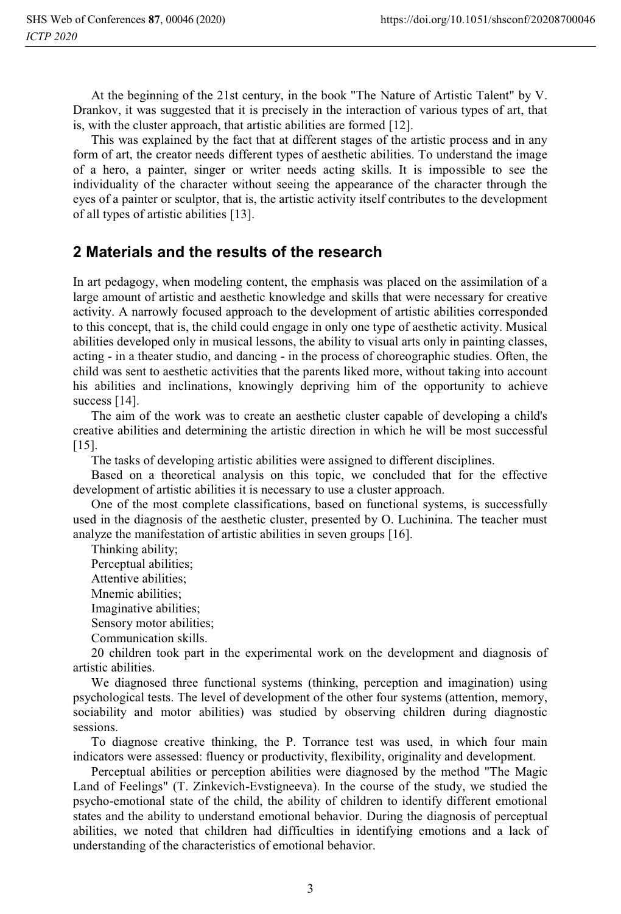At the beginning of the 21st century, in the book "The Nature of Artistic Talent" by V. Drankov, it was suggested that it is precisely in the interaction of various types of art, that is, with the cluster approach, that artistic abilities are formed [12].

This was explained by the fact that at different stages of the artistic process and in any form of art, the creator needs different types of aesthetic abilities. To understand the image of a hero, a painter, singer or writer needs acting skills. It is impossible to see the individuality of the character without seeing the appearance of the character through the eyes of a painter or sculptor, that is, the artistic activity itself contributes to the development of all types of artistic abilities [13].

#### **2 Materials and the results of the research**

In art pedagogy, when modeling content, the emphasis was placed on the assimilation of a large amount of artistic and aesthetic knowledge and skills that were necessary for creative activity. A narrowly focused approach to the development of artistic abilities corresponded to this concept, that is, the child could engage in only one type of aesthetic activity. Musical abilities developed only in musical lessons, the ability to visual arts only in painting classes, acting - in a theater studio, and dancing - in the process of choreographic studies. Often, the child was sent to aesthetic activities that the parents liked more, without taking into account his abilities and inclinations, knowingly depriving him of the opportunity to achieve success [14].

The aim of the work was to create an aesthetic cluster capable of developing a child's creative abilities and determining the artistic direction in which he will be most successful [15].

The tasks of developing artistic abilities were assigned to different disciplines.

Based on a theoretical analysis on this topic, we concluded that for the effective development of artistic abilities it is necessary to use a cluster approach.

One of the most complete classifications, based on functional systems, is successfully used in the diagnosis of the aesthetic cluster, presented by O. Luchinina. The teacher must analyze the manifestation of artistic abilities in seven groups [16].

Thinking ability; Perceptual abilities; Attentive abilities; Mnemic abilities; Imaginative abilities; Sensory motor abilities; Communication skills.

20 children took part in the experimental work on the development and diagnosis of artistic abilities.

We diagnosed three functional systems (thinking, perception and imagination) using psychological tests. The level of development of the other four systems (attention, memory, sociability and motor abilities) was studied by observing children during diagnostic sessions.

To diagnose creative thinking, the P. Torrance test was used, in which four main indicators were assessed: fluency or productivity, flexibility, originality and development.

Perceptual abilities or perception abilities were diagnosed by the method "The Magic Land of Feelings" (T. Zinkevich-Evstigneeva). In the course of the study, we studied the psycho-emotional state of the child, the ability of children to identify different emotional states and the ability to understand emotional behavior. During the diagnosis of perceptual abilities, we noted that children had difficulties in identifying emotions and a lack of understanding of the characteristics of emotional behavior.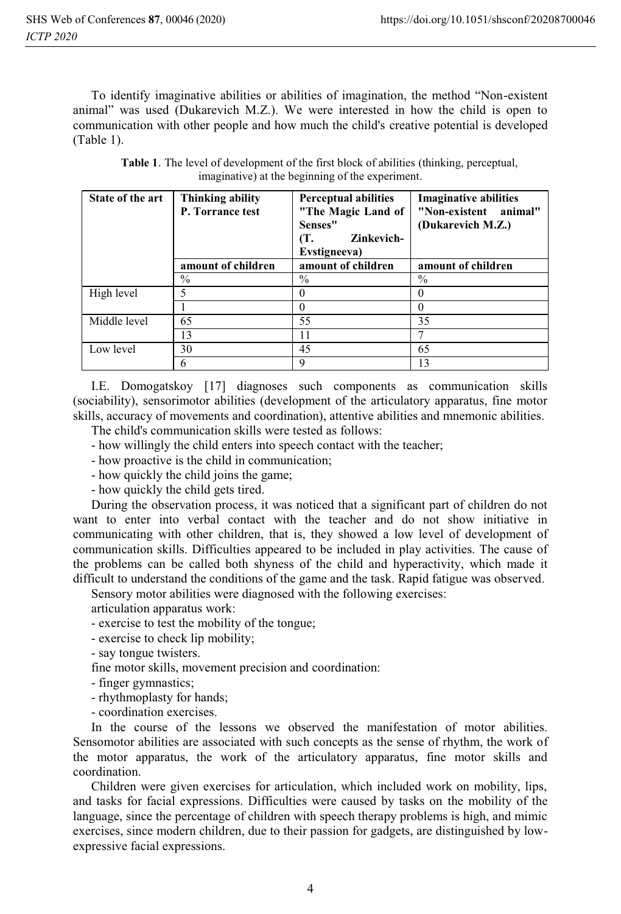To identify imaginative abilities or abilities of imagination, the method "Non-existent animal" was used (Dukarevich M.Z.). We were interested in how the child is open to communication with other people and how much the child's creative potential is developed (Table 1).

| State of the art | Thinking ability<br>P. Torrance test | <b>Perceptual abilities</b><br>"The Magic Land of<br>Senses"<br>Zinkevich-<br>(Т.<br>Evstigneeva) | <b>Imaginative abilities</b><br>"Non-existent animal"<br>(Dukarevich M.Z.) |
|------------------|--------------------------------------|---------------------------------------------------------------------------------------------------|----------------------------------------------------------------------------|
|                  | amount of children                   | amount of children                                                                                | amount of children                                                         |
|                  | $\%$                                 | $\%$                                                                                              | $\%$                                                                       |
| High level       |                                      |                                                                                                   | 0                                                                          |
|                  |                                      |                                                                                                   | 0                                                                          |
| Middle level     | 65                                   | 55                                                                                                | 35                                                                         |
|                  | 13                                   | 11                                                                                                |                                                                            |
| Low level        | 30                                   | 45                                                                                                | 65                                                                         |
|                  | 6                                    | Q                                                                                                 | 13                                                                         |

**Table 1**. The level of development of the first block of abilities (thinking, perceptual, imaginative) at the beginning of the experiment.

I.E. Domogatskoy [17] diagnoses such components as communication skills (sociability), sensorimotor abilities (development of the articulatory apparatus, fine motor skills, accuracy of movements and coordination), attentive abilities and mnemonic abilities.

The child's communication skills were tested as follows:

- how willingly the child enters into speech contact with the teacher;

- how proactive is the child in communication;

- how quickly the child joins the game;

- how quickly the child gets tired.

During the observation process, it was noticed that a significant part of children do not want to enter into verbal contact with the teacher and do not show initiative in communicating with other children, that is, they showed a low level of development of communication skills. Difficulties appeared to be included in play activities. The cause of the problems can be called both shyness of the child and hyperactivity, which made it difficult to understand the conditions of the game and the task. Rapid fatigue was observed.

Sensory motor abilities were diagnosed with the following exercises:

articulation apparatus work:

- exercise to test the mobility of the tongue;

- exercise to check lip mobility;

- say tongue twisters.

fine motor skills, movement precision and coordination:

- finger gymnastics;

- rhythmoplasty for hands;

- coordination exercises.

In the course of the lessons we observed the manifestation of motor abilities. Sensomotor abilities are associated with such concepts as the sense of rhythm, the work of the motor apparatus, the work of the articulatory apparatus, fine motor skills and coordination.

Children were given exercises for articulation, which included work on mobility, lips, and tasks for facial expressions. Difficulties were caused by tasks on the mobility of the language, since the percentage of children with speech therapy problems is high, and mimic exercises, since modern children, due to their passion for gadgets, are distinguished by lowexpressive facial expressions.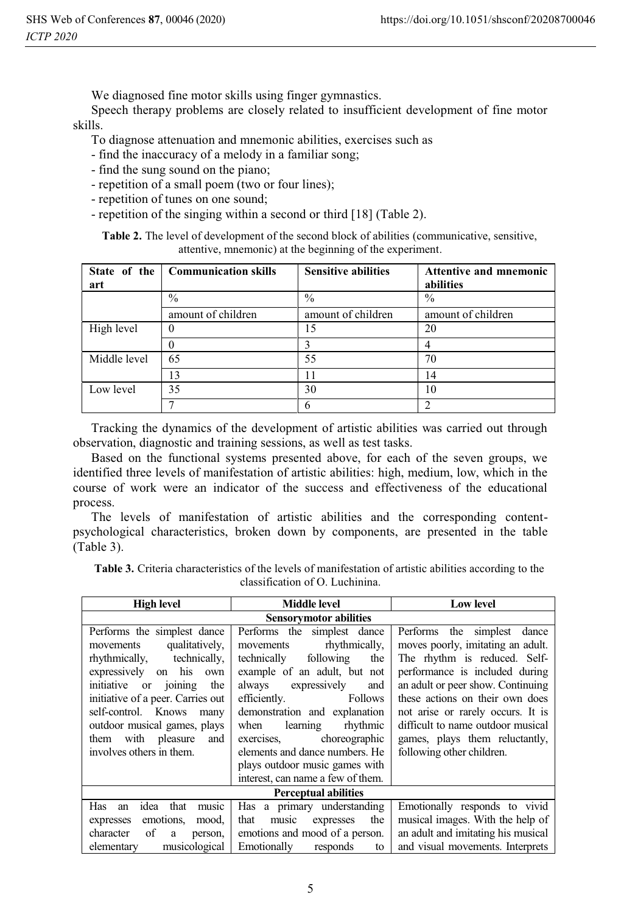We diagnosed fine motor skills using finger gymnastics.

Speech therapy problems are closely related to insufficient development of fine motor skills.

To diagnose attenuation and mnemonic abilities, exercises such as

- find the inaccuracy of a melody in a familiar song;
- find the sung sound on the piano;
- repetition of a small poem (two or four lines);
- repetition of tunes on one sound;
- repetition of the singing within a second or third [18] (Table 2).

**Table 2.** The level of development of the second block of abilities (communicative, sensitive, attentive, mnemonic) at the beginning of the experiment.

| State of the<br>art | <b>Communication skills</b> | <b>Sensitive abilities</b> | <b>Attentive and mnemonic</b><br>abilities |
|---------------------|-----------------------------|----------------------------|--------------------------------------------|
|                     | $\frac{0}{0}$               | $\frac{0}{0}$              | $\frac{0}{0}$                              |
|                     | amount of children          | amount of children         | amount of children                         |
| High level          |                             | 15                         | 20                                         |
|                     |                             |                            |                                            |
| Middle level        | 65                          | 55                         | 70                                         |
|                     | 13                          | 11                         | 14                                         |
| Low level           | 35                          | 30                         | 10                                         |
|                     |                             |                            |                                            |

Tracking the dynamics of the development of artistic abilities was carried out through observation, diagnostic and training sessions, as well as test tasks.

Based on the functional systems presented above, for each of the seven groups, we identified three levels of manifestation of artistic abilities: high, medium, low, which in the course of work were an indicator of the success and effectiveness of the educational process.

The levels of manifestation of artistic abilities and the corresponding contentpsychological characteristics, broken down by components, are presented in the table (Table 3).

**Table 3.** Criteria characteristics of the levels of manifestation of artistic abilities according to the classification of O. Luchinina.

| <b>High level</b>                                                                                                                                                                                                                                                                                                                                                                                                                                                                                                                                                                                                                                                                      | <b>Middle level</b>                                                                                                                 | <b>Low level</b>                                                                                                                                                                                                                                                                                                                                    |  |
|----------------------------------------------------------------------------------------------------------------------------------------------------------------------------------------------------------------------------------------------------------------------------------------------------------------------------------------------------------------------------------------------------------------------------------------------------------------------------------------------------------------------------------------------------------------------------------------------------------------------------------------------------------------------------------------|-------------------------------------------------------------------------------------------------------------------------------------|-----------------------------------------------------------------------------------------------------------------------------------------------------------------------------------------------------------------------------------------------------------------------------------------------------------------------------------------------------|--|
|                                                                                                                                                                                                                                                                                                                                                                                                                                                                                                                                                                                                                                                                                        | <b>Sensorymotor abilities</b>                                                                                                       |                                                                                                                                                                                                                                                                                                                                                     |  |
| Performs the simplest dance<br>Performs the simplest dance<br>rhythmically,<br>qualitatively,<br>movements<br>movements<br>technically,<br>following<br>rhythmically,<br>technically<br>the<br>his<br>example of an adult, but not<br>expressively on<br>own<br>initiative or<br>joining<br>the<br>always expressively<br>and<br>initiative of a peer. Carries out<br>Follows<br>efficiently.<br>self-control. Knows many<br>demonstration and explanation<br>outdoor musical games, plays<br>rhythmic<br>when<br>learning<br>them with pleasure<br>choreographic<br>and<br>exercises,<br>involves others in them.<br>elements and dance numbers. He<br>plays outdoor music games with |                                                                                                                                     | Performs the simplest dance<br>moves poorly, imitating an adult.<br>The rhythm is reduced. Self-<br>performance is included during<br>an adult or peer show. Continuing<br>these actions on their own does<br>not arise or rarely occurs. It is<br>difficult to name outdoor musical<br>games, plays them reluctantly,<br>following other children. |  |
| <b>Perceptual abilities</b>                                                                                                                                                                                                                                                                                                                                                                                                                                                                                                                                                                                                                                                            |                                                                                                                                     |                                                                                                                                                                                                                                                                                                                                                     |  |
| idea that<br>music<br>Has<br>an<br>emotions,<br>mood,<br>expresses<br>character<br>of<br>person,<br>a<br>musicological<br>elementary                                                                                                                                                                                                                                                                                                                                                                                                                                                                                                                                                   | Has a primary understanding<br>that<br>music<br>the<br>expresses<br>emotions and mood of a person.<br>Emotionally<br>responds<br>to | Emotionally responds to vivid<br>musical images. With the help of<br>an adult and imitating his musical<br>and visual movements. Interprets                                                                                                                                                                                                         |  |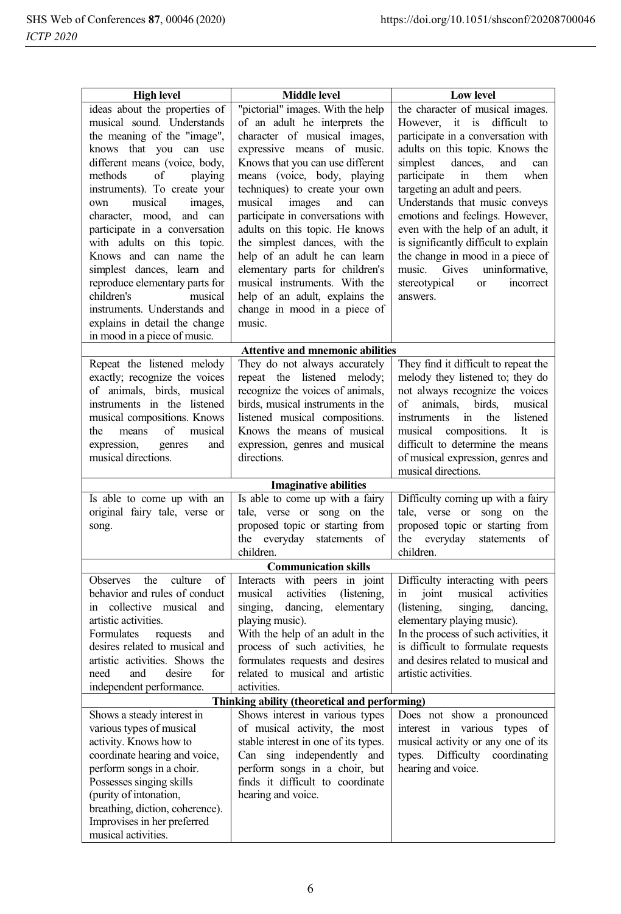| <b>High level</b>                                                 | <b>Middle</b> level                                               | Low level                                                     |  |
|-------------------------------------------------------------------|-------------------------------------------------------------------|---------------------------------------------------------------|--|
| ideas about the properties of                                     | "pictorial" images. With the help                                 | the character of musical images.                              |  |
| musical sound. Understands                                        | of an adult he interprets the                                     | However, it is difficult to                                   |  |
| the meaning of the "image",                                       | character of musical images,                                      | participate in a conversation with                            |  |
| knows that you can use                                            | expressive means of music.                                        | adults on this topic. Knows the                               |  |
| different means (voice, body,                                     | Knows that you can use different                                  | dances,<br>simplest<br>and<br>can                             |  |
| of<br>methods<br>playing                                          | means (voice, body, playing                                       | participate<br>when<br>in<br>them                             |  |
| instruments). To create your                                      | techniques) to create your own                                    | targeting an adult and peers.                                 |  |
| musical<br>images,<br>own                                         | musical<br>images<br>and<br>can                                   | Understands that music conveys                                |  |
| character, mood, and can                                          | participate in conversations with                                 | emotions and feelings. However,                               |  |
| participate in a conversation                                     | adults on this topic. He knows                                    | even with the help of an adult, it                            |  |
| with adults on this topic.                                        | the simplest dances, with the                                     | is significantly difficult to explain                         |  |
| Knows and can name the                                            | help of an adult he can learn                                     | the change in mood in a piece of                              |  |
| simplest dances, learn and                                        | elementary parts for children's                                   | uninformative,<br>music.<br>Gives                             |  |
| reproduce elementary parts for                                    | musical instruments. With the                                     | incorrect<br>stereotypical<br><b>or</b>                       |  |
| children's<br>musical                                             | help of an adult, explains the                                    | answers.                                                      |  |
| instruments. Understands and                                      | change in mood in a piece of<br>music.                            |                                                               |  |
| explains in detail the change<br>in mood in a piece of music.     |                                                                   |                                                               |  |
|                                                                   | <b>Attentive and mnemonic abilities</b>                           |                                                               |  |
| Repeat the listened melody                                        | They do not always accurately                                     | They find it difficult to repeat the                          |  |
| exactly; recognize the voices                                     | repeat the listened melody;                                       | melody they listened to; they do                              |  |
| of animals, birds, musical                                        | recognize the voices of animals,                                  | not always recognize the voices                               |  |
| instruments in the listened                                       | birds, musical instruments in the                                 | of<br>birds,<br>animals,<br>musical                           |  |
| musical compositions. Knows                                       | listened musical compositions.                                    | the<br>instruments in<br>listened                             |  |
| of<br>the<br>means<br>musical                                     | Knows the means of musical                                        | musical<br>compositions.<br>It is                             |  |
| expression,<br>and<br>genres<br>musical directions.               | expression, genres and musical<br>directions.                     | difficult to determine the means                              |  |
|                                                                   |                                                                   | of musical expression, genres and<br>musical directions.      |  |
|                                                                   | <b>Imaginative abilities</b>                                      |                                                               |  |
| Is able to come up with an                                        | Is able to come up with a fairy                                   | Difficulty coming up with a fairy                             |  |
| original fairy tale, verse or                                     | tale, verse or song on the                                        | tale, verse or song on the                                    |  |
| song.                                                             | proposed topic or starting from                                   | proposed topic or starting from                               |  |
|                                                                   | everyday statements<br>the<br>of                                  | the everyday<br>statements<br>of                              |  |
|                                                                   | children.                                                         | children.                                                     |  |
|                                                                   | <b>Communication skills</b>                                       |                                                               |  |
| the<br>culture<br>Observes<br>of<br>behavior and rules of conduct | Interacts with peers in joint<br>(listening,                      | Difficulty interacting with peers<br>activities               |  |
| in collective musical<br>and                                      | activities<br>musical<br>dancing,<br>singing,<br>elementary       | musical<br>in<br>joint<br>(listening,<br>singing,<br>dancing, |  |
| artistic activities.                                              | playing music).                                                   | elementary playing music).                                    |  |
| Formulates<br>requests<br>and                                     | With the help of an adult in the                                  | In the process of such activities, it                         |  |
| desires related to musical and                                    | process of such activities, he                                    | is difficult to formulate requests                            |  |
| artistic activities. Shows the                                    | formulates requests and desires                                   | and desires related to musical and                            |  |
| for<br>need<br>and<br>desire                                      | related to musical and artistic                                   | artistic activities.                                          |  |
| independent performance.                                          | activities.                                                       |                                                               |  |
| Thinking ability (theoretical and performing)                     |                                                                   |                                                               |  |
| Shows a steady interest in                                        | Shows interest in various types                                   | Does not show a pronounced                                    |  |
| various types of musical                                          | of musical activity, the most                                     | interest in various types of                                  |  |
| activity. Knows how to                                            | stable interest in one of its types.                              | musical activity or any one of its                            |  |
| coordinate hearing and voice,                                     | Can sing independently and                                        | types.<br>Difficulty<br>coordinating                          |  |
| perform songs in a choir.<br>Possesses singing skills             | perform songs in a choir, but<br>finds it difficult to coordinate | hearing and voice.                                            |  |
| (purity of intonation,                                            | hearing and voice.                                                |                                                               |  |
| breathing, diction, coherence).                                   |                                                                   |                                                               |  |
| Improvises in her preferred                                       |                                                                   |                                                               |  |
| musical activities.                                               |                                                                   |                                                               |  |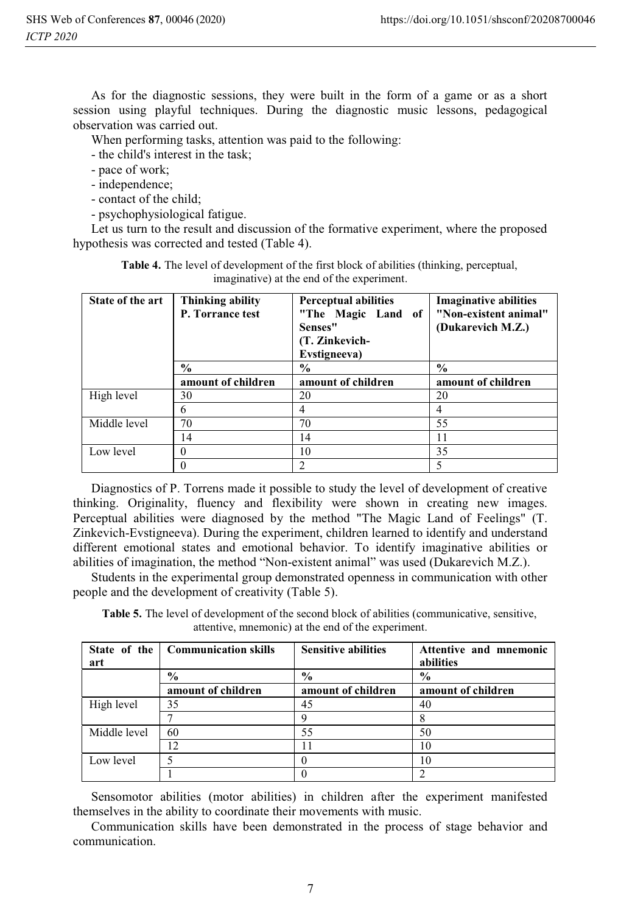As for the diagnostic sessions, they were built in the form of a game or as a short session using playful techniques. During the diagnostic music lessons, pedagogical observation was carried out.

When performing tasks, attention was paid to the following:

- the child's interest in the task;

- pace of work;

- independence;

- contact of the child;

- psychophysiological fatigue.

Let us turn to the result and discussion of the formative experiment, where the proposed hypothesis was corrected and tested (Table 4).

| State of the art | Thinking ability   | <b>Perceptual abilities</b> | <b>Imaginative abilities</b> |
|------------------|--------------------|-----------------------------|------------------------------|
|                  | P. Torrance test   | "The Magic Land of          | "Non-existent animal"        |
|                  |                    | Senses"                     | (Dukarevich M.Z.)            |
|                  |                    | (T. Zinkevich-              |                              |
|                  |                    | Evstigneeva)                |                              |
|                  | $\frac{0}{0}$      | $\%$                        | $\frac{6}{6}$                |
|                  | amount of children | amount of children          | amount of children           |
| High level       | 30                 | 20                          | 20                           |
|                  | 6                  | 4                           | 4                            |
| Middle level     | 70                 | 70                          | 55                           |
|                  | 14                 | 14                          | 11                           |
| Low level        |                    | 10                          | 35                           |
|                  |                    | $\overline{2}$              | 5                            |

**Table 4.** The level of development of the first block of abilities (thinking, perceptual, imaginative) at the end of the experiment.

Diagnostics of P. Torrens made it possible to study the level of development of creative thinking. Originality, fluency and flexibility were shown in creating new images. Perceptual abilities were diagnosed by the method "The Magic Land of Feelings" (T. Zinkevich-Evstigneeva). During the experiment, children learned to identify and understand different emotional states and emotional behavior. To identify imaginative abilities or abilities of imagination, the method "Non-existent animal" was used (Dukarevich M.Z.).

Students in the experimental group demonstrated openness in communication with other people and the development of creativity (Table 5).

**Table 5.** The level of development of the second block of abilities (communicative, sensitive, attentive, mnemonic) at the end of the experiment.

| art          | State of the   Communication skills | <b>Sensitive abilities</b> | Attentive and mnemonic<br>abilities |
|--------------|-------------------------------------|----------------------------|-------------------------------------|
|              | $\frac{0}{0}$                       | $\frac{6}{9}$              | $\%$                                |
|              | amount of children                  | amount of children         | amount of children                  |
| High level   | 35                                  | 45                         | 40                                  |
|              |                                     |                            |                                     |
| Middle level | 60                                  | 55                         | 50                                  |
|              | 12                                  |                            | 10                                  |
| Low level    |                                     |                            | 10                                  |
|              |                                     |                            |                                     |

Sensomotor abilities (motor abilities) in children after the experiment manifested themselves in the ability to coordinate their movements with music.

Communication skills have been demonstrated in the process of stage behavior and communication.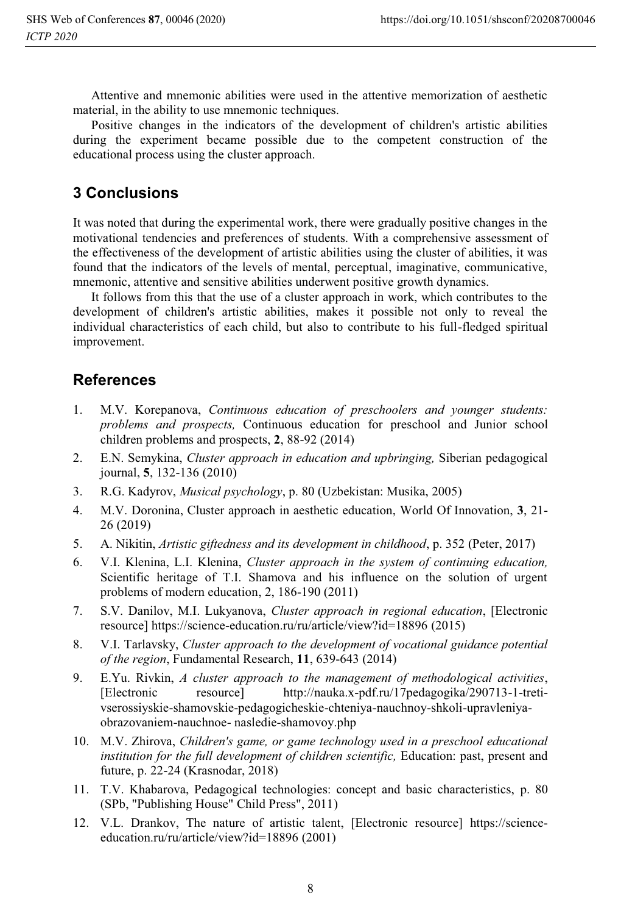Attentive and mnemonic abilities were used in the attentive memorization of aesthetic material, in the ability to use mnemonic techniques.

Positive changes in the indicators of the development of children's artistic abilities during the experiment became possible due to the competent construction of the educational process using the cluster approach.

## **3 Conclusions**

It was noted that during the experimental work, there were gradually positive changes in the motivational tendencies and preferences of students. With a comprehensive assessment of the effectiveness of the development of artistic abilities using the cluster of abilities, it was found that the indicators of the levels of mental, perceptual, imaginative, communicative, mnemonic, attentive and sensitive abilities underwent positive growth dynamics.

It follows from this that the use of a cluster approach in work, which contributes to the development of children's artistic abilities, makes it possible not only to reveal the individual characteristics of each child, but also to contribute to his full-fledged spiritual improvement.

## **References**

- 1. M.V. Korepanova, *Continuous education of preschoolers and younger students: problems and prospects,* Continuous education for preschool and Junior school children problems and prospects, **2**, 88-92 (2014)
- 2. E.N. Semykina, *Cluster approach in education and upbringing,* Siberian pedagogical journal, **5**, 132-136 (2010)
- 3. R.G. Kadyrov, *Musical psychology*, p. 80 (Uzbekistan: Musika, 2005)
- 4. M.V. Doronina, Cluster approach in aesthetic education, World Of Innovation, **3**, 21- 26 (2019)
- 5. A. Nikitin, *Artistic giftedness and its development in childhood*, p. 352 (Peter, 2017)
- 6. V.I. Klenina, L.I. Klenina, *Cluster approach in the system of continuing education,* Scientific heritage of T.I. Shamova and his influence on the solution of urgent problems of modern education, 2, 186-190 (2011)
- 7. S.V. Danilov, M.I. Lukyanova, *Cluster approach in regional education*, [Electronic resource] https://science-education.ru/ru/article/view?id=18896 (2015)
- 8. V.I. Tarlavsky, *Cluster approach to the development of vocational guidance potential of the region*, Fundamental Research, **11**, 639-643 (2014)
- 9. E.Yu. Rivkin, *A cluster approach to the management of methodological activities*, [Electronic resource] http://nauka.x-pdf.ru/17pedagogika/290713-1-tretivserossiyskie-shamovskie-pedagogicheskie-chteniya-nauchnoy-shkoli-upravleniyaobrazovaniem-nauchnoe- nasledie-shamovoy.php
- 10. M.V. Zhirova, *Children's game, or game technology used in a preschool educational institution for the full development of children scientific,* Education: past, present and future, p. 22-24 (Krasnodar, 2018)
- 11. T.V. Khabarova, Pedagogical technologies: concept and basic characteristics, p. 80 (SPb, "Publishing House" Child Press", 2011)
- 12. V.L. Drankov, The nature of artistic talent, [Electronic resource] https://scienceeducation.ru/ru/article/view?id=18896 (2001)